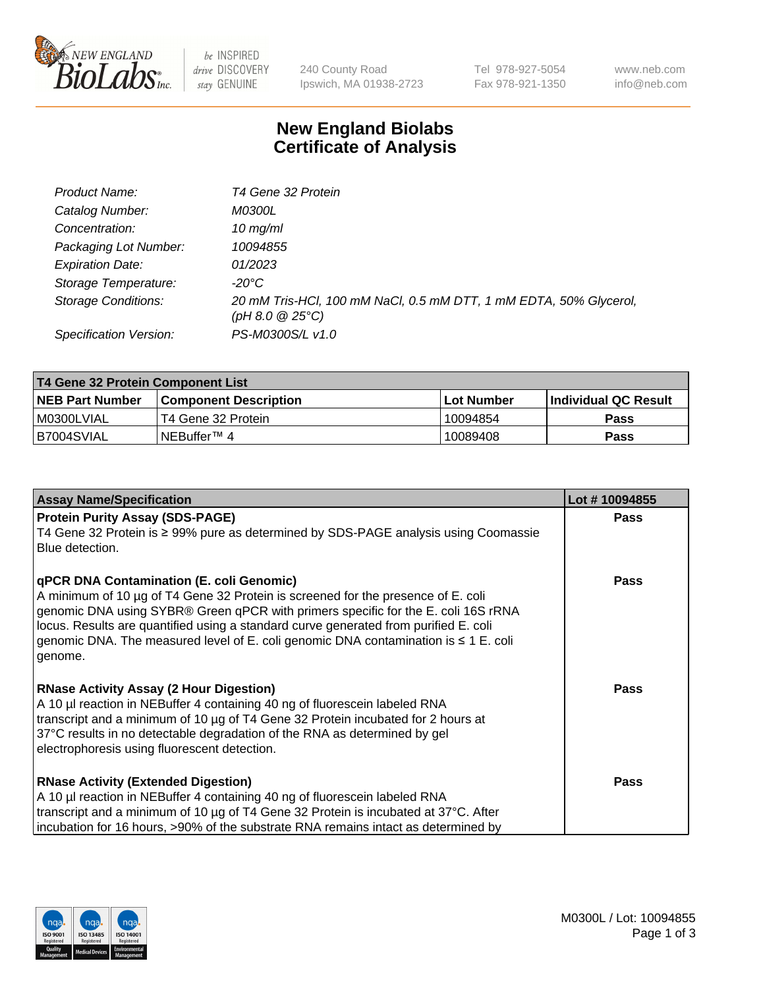

 $be$  INSPIRED drive DISCOVERY stay GENUINE

240 County Road Ipswich, MA 01938-2723 Tel 978-927-5054 Fax 978-921-1350 www.neb.com info@neb.com

## **New England Biolabs Certificate of Analysis**

| Product Name:              | T4 Gene 32 Protein                                                                     |
|----------------------------|----------------------------------------------------------------------------------------|
| Catalog Number:            | <i>M0300L</i>                                                                          |
| Concentration:             | $10 \, \text{mg/ml}$                                                                   |
| Packaging Lot Number:      | 10094855                                                                               |
| <b>Expiration Date:</b>    | 01/2023                                                                                |
| Storage Temperature:       | $-20^{\circ}$ C                                                                        |
| <b>Storage Conditions:</b> | 20 mM Tris-HCl, 100 mM NaCl, 0.5 mM DTT, 1 mM EDTA, 50% Glycerol,<br>(pH 8.0 $@25°C$ ) |
| Specification Version:     | PS-M0300S/L v1.0                                                                       |

| T4 Gene 32 Protein Component List |                        |             |                       |  |  |
|-----------------------------------|------------------------|-------------|-----------------------|--|--|
| <b>NEB Part Number</b>            | Component Description_ | ⊺Lot Number | ∣Individual QC Result |  |  |
| I M0300LVIAL                      | T4 Gene 32 Protein     | 10094854    | <b>Pass</b>           |  |  |
| B7004SVIAL                        | INEBuffer™ 4           | 10089408    | <b>Pass</b>           |  |  |

| <b>Assay Name/Specification</b>                                                                                                                                                                                                                                                                                                                                                                                         | Lot #10094855 |
|-------------------------------------------------------------------------------------------------------------------------------------------------------------------------------------------------------------------------------------------------------------------------------------------------------------------------------------------------------------------------------------------------------------------------|---------------|
| <b>Protein Purity Assay (SDS-PAGE)</b><br>T4 Gene 32 Protein is ≥ 99% pure as determined by SDS-PAGE analysis using Coomassie<br>Blue detection.                                                                                                                                                                                                                                                                        | <b>Pass</b>   |
| <b>qPCR DNA Contamination (E. coli Genomic)</b><br>A minimum of 10 µg of T4 Gene 32 Protein is screened for the presence of E. coli<br>genomic DNA using SYBR® Green qPCR with primers specific for the E. coli 16S rRNA<br>locus. Results are quantified using a standard curve generated from purified E. coli<br>genomic DNA. The measured level of E. coli genomic DNA contamination is $\leq 1$ E. coli<br>genome. | <b>Pass</b>   |
| <b>RNase Activity Assay (2 Hour Digestion)</b><br>A 10 µl reaction in NEBuffer 4 containing 40 ng of fluorescein labeled RNA<br>transcript and a minimum of 10 µg of T4 Gene 32 Protein incubated for 2 hours at<br>37°C results in no detectable degradation of the RNA as determined by gel<br>electrophoresis using fluorescent detection.                                                                           | <b>Pass</b>   |
| <b>RNase Activity (Extended Digestion)</b><br>A 10 µl reaction in NEBuffer 4 containing 40 ng of fluorescein labeled RNA<br>transcript and a minimum of 10 µg of T4 Gene 32 Protein is incubated at 37°C. After<br>incubation for 16 hours, >90% of the substrate RNA remains intact as determined by                                                                                                                   | <b>Pass</b>   |

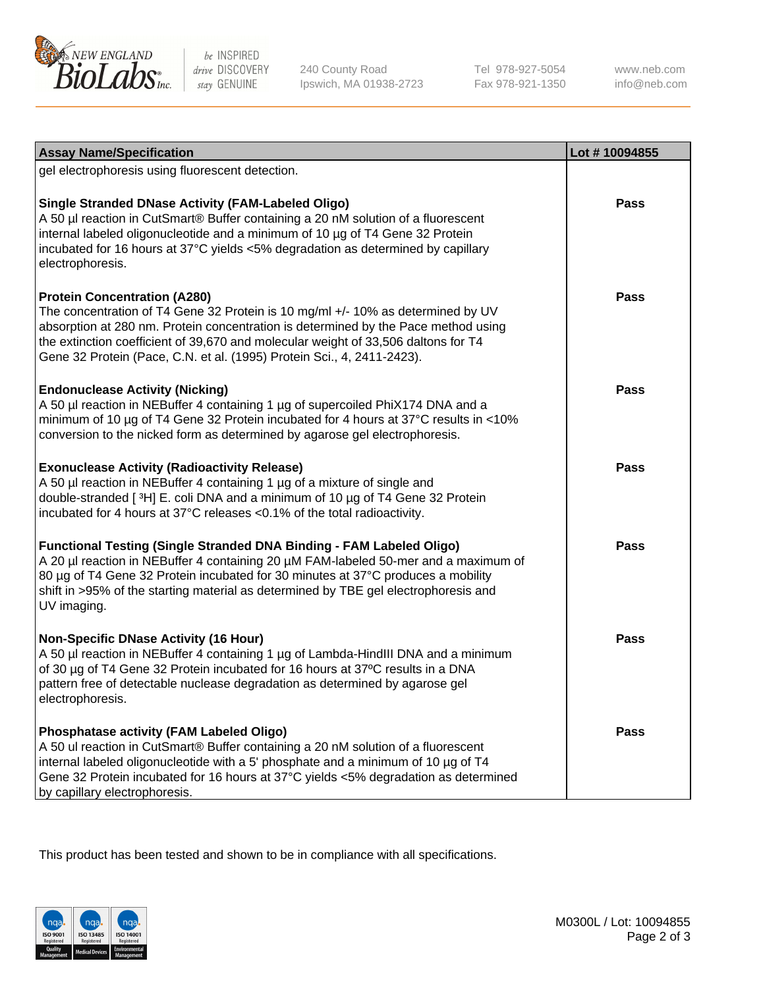

be INSPIRED drive DISCOVERY stay GENUINE

240 County Road Ipswich, MA 01938-2723 Tel 978-927-5054 Fax 978-921-1350 www.neb.com info@neb.com

| <b>Assay Name/Specification</b>                                                                                                                                                                                                                                                                                                                                              | Lot #10094855 |
|------------------------------------------------------------------------------------------------------------------------------------------------------------------------------------------------------------------------------------------------------------------------------------------------------------------------------------------------------------------------------|---------------|
| gel electrophoresis using fluorescent detection.                                                                                                                                                                                                                                                                                                                             |               |
| <b>Single Stranded DNase Activity (FAM-Labeled Oligo)</b><br>A 50 µl reaction in CutSmart® Buffer containing a 20 nM solution of a fluorescent<br>internal labeled oligonucleotide and a minimum of 10 µg of T4 Gene 32 Protein<br>incubated for 16 hours at 37°C yields <5% degradation as determined by capillary<br>electrophoresis.                                      | <b>Pass</b>   |
| <b>Protein Concentration (A280)</b><br>The concentration of T4 Gene 32 Protein is 10 mg/ml +/- 10% as determined by UV<br>absorption at 280 nm. Protein concentration is determined by the Pace method using<br>the extinction coefficient of 39,670 and molecular weight of 33,506 daltons for T4<br>Gene 32 Protein (Pace, C.N. et al. (1995) Protein Sci., 4, 2411-2423). | <b>Pass</b>   |
| <b>Endonuclease Activity (Nicking)</b><br>A 50 µl reaction in NEBuffer 4 containing 1 µg of supercoiled PhiX174 DNA and a<br>minimum of 10 µg of T4 Gene 32 Protein incubated for 4 hours at 37°C results in <10%<br>conversion to the nicked form as determined by agarose gel electrophoresis.                                                                             | Pass          |
| <b>Exonuclease Activity (Radioactivity Release)</b><br>A 50 µl reaction in NEBuffer 4 containing 1 µg of a mixture of single and<br>double-stranded [3H] E. coli DNA and a minimum of 10 µg of T4 Gene 32 Protein<br>incubated for 4 hours at 37°C releases <0.1% of the total radioactivity.                                                                                | <b>Pass</b>   |
| <b>Functional Testing (Single Stranded DNA Binding - FAM Labeled Oligo)</b><br>A 20 µl reaction in NEBuffer 4 containing 20 µM FAM-labeled 50-mer and a maximum of<br>80 µg of T4 Gene 32 Protein incubated for 30 minutes at 37°C produces a mobility<br>shift in >95% of the starting material as determined by TBE gel electrophoresis and<br>UV imaging.                 | <b>Pass</b>   |
| <b>Non-Specific DNase Activity (16 Hour)</b><br>A 50 µl reaction in NEBuffer 4 containing 1 µg of Lambda-HindIII DNA and a minimum<br>of 30 µg of T4 Gene 32 Protein incubated for 16 hours at 37°C results in a DNA<br>pattern free of detectable nuclease degradation as determined by agarose gel<br>electrophoresis.                                                     | <b>Pass</b>   |
| Phosphatase activity (FAM Labeled Oligo)<br>A 50 ul reaction in CutSmart® Buffer containing a 20 nM solution of a fluorescent<br>internal labeled oligonucleotide with a 5' phosphate and a minimum of 10 µg of T4<br>Gene 32 Protein incubated for 16 hours at 37°C yields <5% degradation as determined<br>by capillary electrophoresis.                                   | <b>Pass</b>   |

This product has been tested and shown to be in compliance with all specifications.